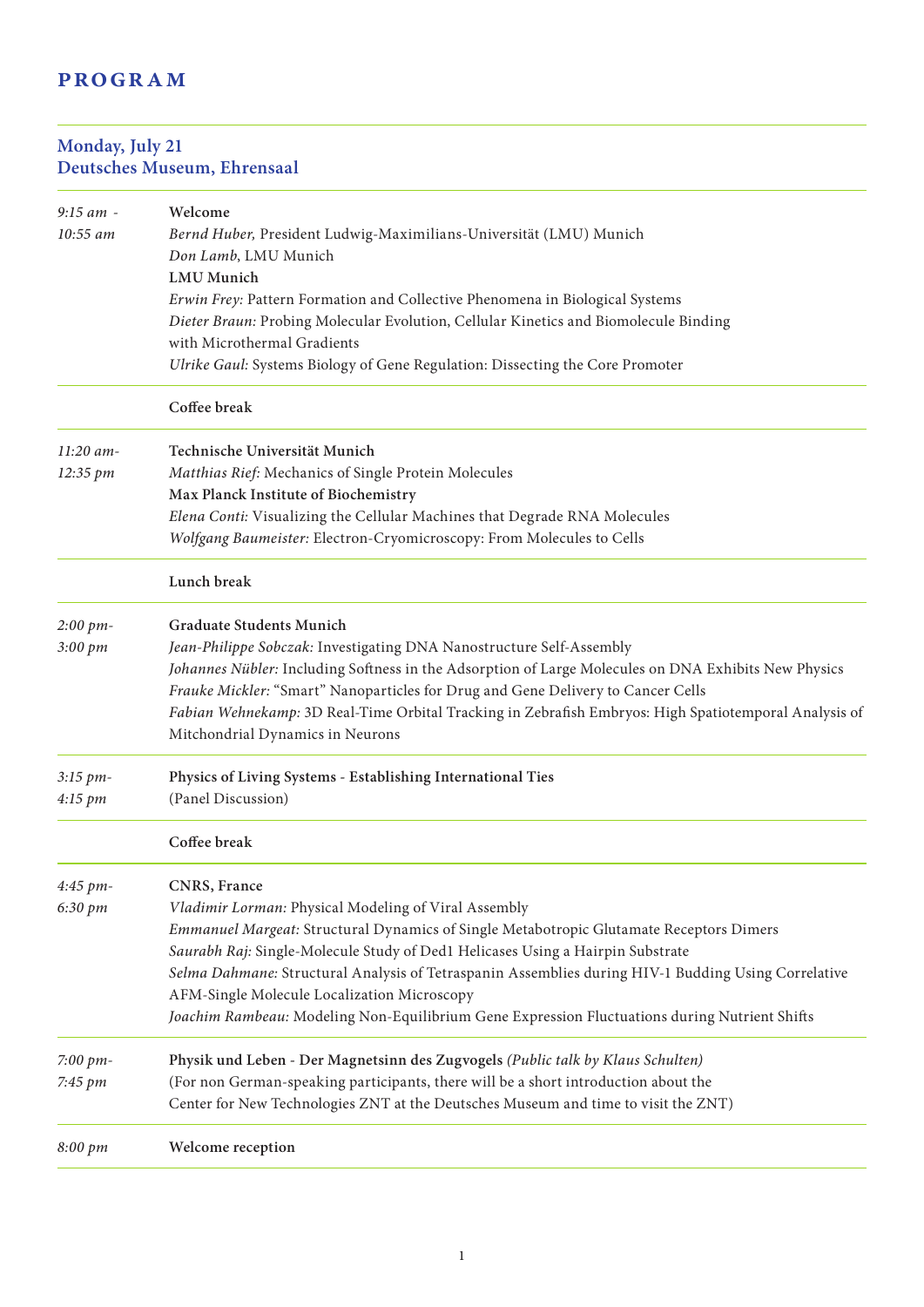# **PROGRAM**

#### **Monday, July 21 Deutsches Museum, Ehrensaal**

| $9:15$ am - | Welcome                                                                                               |
|-------------|-------------------------------------------------------------------------------------------------------|
| 10:55 am    | Bernd Huber, President Ludwig-Maximilians-Universität (LMU) Munich                                    |
|             | Don Lamb, LMU Munich                                                                                  |
|             | <b>LMU</b> Munich<br>Erwin Frey: Pattern Formation and Collective Phenomena in Biological Systems     |
|             | Dieter Braun: Probing Molecular Evolution, Cellular Kinetics and Biomolecule Binding                  |
|             | with Microthermal Gradients                                                                           |
|             | Ulrike Gaul: Systems Biology of Gene Regulation: Dissecting the Core Promoter                         |
|             | Coffee break                                                                                          |
| $11:20$ am- | Technische Universität Munich                                                                         |
| 12:35 pm    | Matthias Rief: Mechanics of Single Protein Molecules                                                  |
|             | Max Planck Institute of Biochemistry                                                                  |
|             | Elena Conti: Visualizing the Cellular Machines that Degrade RNA Molecules                             |
|             | Wolfgang Baumeister: Electron-Cryomicroscopy: From Molecules to Cells                                 |
|             | Lunch break                                                                                           |
| 2:00~pm     | <b>Graduate Students Munich</b>                                                                       |
| 3:00 pm     | Jean-Philippe Sobczak: Investigating DNA Nanostructure Self-Assembly                                  |
|             | Johannes Nübler: Including Softness in the Adsorption of Large Molecules on DNA Exhibits New Physics  |
|             | Frauke Mickler: "Smart" Nanoparticles for Drug and Gene Delivery to Cancer Cells                      |
|             | Fabian Wehnekamp: 3D Real-Time Orbital Tracking in Zebrafish Embryos: High Spatiotemporal Analysis of |
|             | Mitchondrial Dynamics in Neurons                                                                      |
| 3:15 pm-    | Physics of Living Systems - Establishing International Ties                                           |
| 4:15~pm     | (Panel Discussion)                                                                                    |
|             | Coffee break                                                                                          |
| 4:45 pm-    | CNRS, France                                                                                          |
| 6:30 pm     | Vladimir Lorman: Physical Modeling of Viral Assembly                                                  |
|             | Emmanuel Margeat: Structural Dynamics of Single Metabotropic Glutamate Receptors Dimers               |
|             | Saurabh Raj: Single-Molecule Study of Ded1 Helicases Using a Hairpin Substrate                        |
|             | Selma Dahmane: Structural Analysis of Tetraspanin Assemblies during HIV-1 Budding Using Correlative   |
|             | AFM-Single Molecule Localization Microscopy                                                           |
|             | Joachim Rambeau: Modeling Non-Equilibrium Gene Expression Fluctuations during Nutrient Shifts         |
| 7:00 $pm$ - | Physik und Leben - Der Magnetsinn des Zugvogels (Public talk by Klaus Schulten)                       |
| 7:45 pm     | (For non German-speaking participants, there will be a short introduction about the                   |
|             | Center for New Technologies ZNT at the Deutsches Museum and time to visit the ZNT)                    |
| 8:00 pm     | Welcome reception                                                                                     |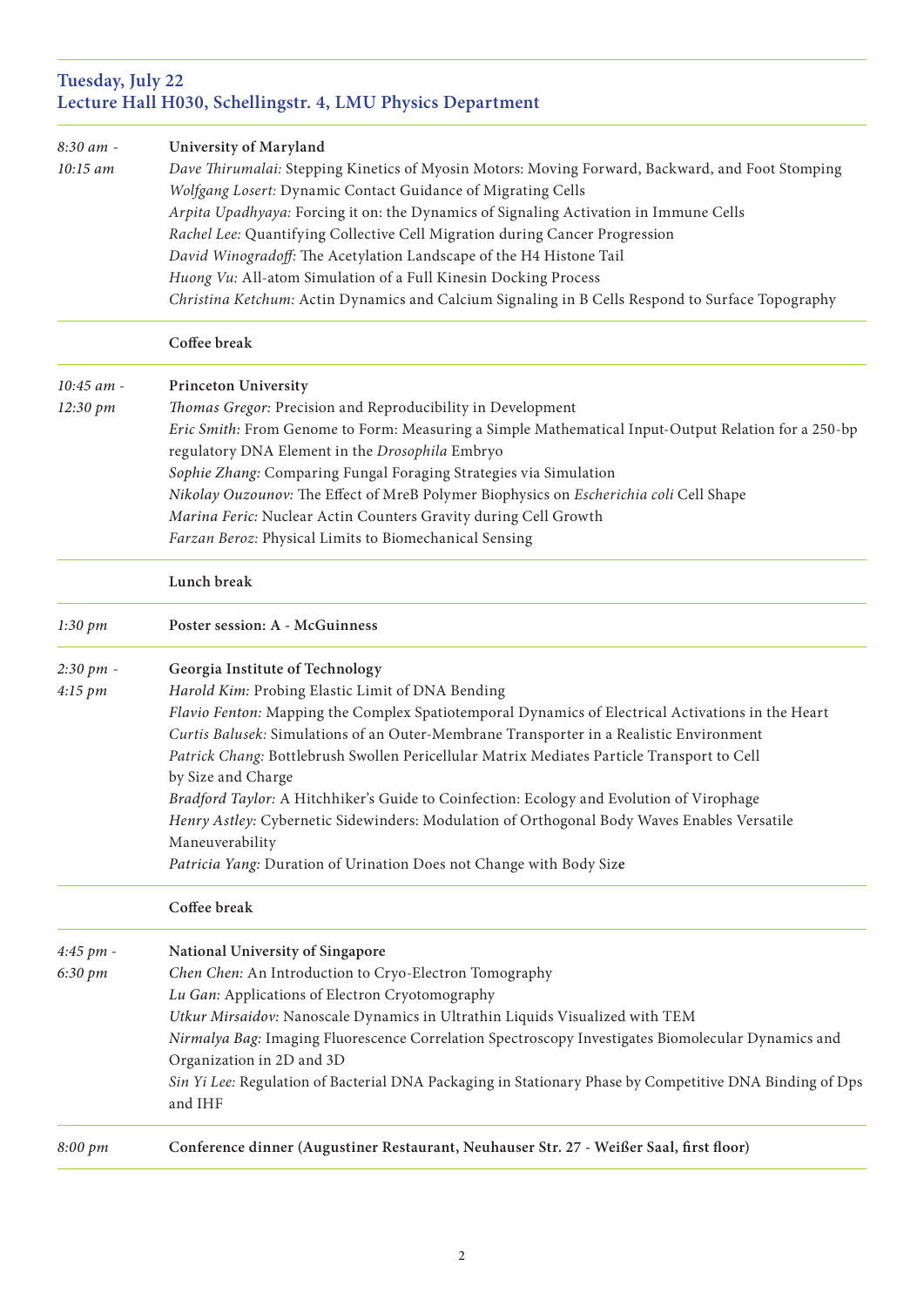## **Tuesday, July 22 Lecture Hall H030, Schellingstr. 4, LMU Physics Department**

| 8:30 am -<br>10:15 am | University of Maryland<br>Dave Thirumalai: Stepping Kinetics of Myosin Motors: Moving Forward, Backward, and Foot Stomping<br>Wolfgang Losert: Dynamic Contact Guidance of Migrating Cells<br>Arpita Upadhyaya: Forcing it on: the Dynamics of Signaling Activation in Immune Cells<br>Rachel Lee: Quantifying Collective Cell Migration during Cancer Progression<br>David Winogradoff: The Acetylation Landscape of the H4 Histone Tail<br>Huong Vu: All-atom Simulation of a Full Kinesin Docking Process                                                                                                                                                                                 |
|-----------------------|----------------------------------------------------------------------------------------------------------------------------------------------------------------------------------------------------------------------------------------------------------------------------------------------------------------------------------------------------------------------------------------------------------------------------------------------------------------------------------------------------------------------------------------------------------------------------------------------------------------------------------------------------------------------------------------------|
|                       | Christina Ketchum: Actin Dynamics and Calcium Signaling in B Cells Respond to Surface Topography                                                                                                                                                                                                                                                                                                                                                                                                                                                                                                                                                                                             |
|                       | Coffee break                                                                                                                                                                                                                                                                                                                                                                                                                                                                                                                                                                                                                                                                                 |
| 10:45 am -            | <b>Princeton University</b>                                                                                                                                                                                                                                                                                                                                                                                                                                                                                                                                                                                                                                                                  |
| 12:30 pm              | Thomas Gregor: Precision and Reproducibility in Development<br>Eric Smith: From Genome to Form: Measuring a Simple Mathematical Input-Output Relation for a 250-bp<br>regulatory DNA Element in the Drosophila Embryo<br>Sophie Zhang: Comparing Fungal Foraging Strategies via Simulation<br>Nikolay Ouzounov: The Effect of MreB Polymer Biophysics on Escherichia coli Cell Shape<br>Marina Feric: Nuclear Actin Counters Gravity during Cell Growth<br>Farzan Beroz: Physical Limits to Biomechanical Sensing                                                                                                                                                                            |
|                       | Lunch break                                                                                                                                                                                                                                                                                                                                                                                                                                                                                                                                                                                                                                                                                  |
| 1:30 pm               | Poster session: A - McGuinness                                                                                                                                                                                                                                                                                                                                                                                                                                                                                                                                                                                                                                                               |
| 2:30 pm -<br>4:15 pm  | Georgia Institute of Technology<br>Harold Kim: Probing Elastic Limit of DNA Bending<br>Flavio Fenton: Mapping the Complex Spatiotemporal Dynamics of Electrical Activations in the Heart<br>Curtis Balusek: Simulations of an Outer-Membrane Transporter in a Realistic Environment<br>Patrick Chang: Bottlebrush Swollen Pericellular Matrix Mediates Particle Transport to Cell<br>by Size and Charge<br>Bradford Taylor: A Hitchhiker's Guide to Coinfection: Ecology and Evolution of Virophage<br>Henry Astley: Cybernetic Sidewinders: Modulation of Orthogonal Body Waves Enables Versatile<br>Maneuverability<br>Patricia Yang: Duration of Urination Does not Change with Body Size |
|                       | Coffee break                                                                                                                                                                                                                                                                                                                                                                                                                                                                                                                                                                                                                                                                                 |
| 4:45 pm -<br>6:30 pm  | National University of Singapore<br>Chen Chen: An Introduction to Cryo-Electron Tomography<br>Lu Gan: Applications of Electron Cryotomography<br>Utkur Mirsaidov: Nanoscale Dynamics in Ultrathin Liquids Visualized with TEM<br>Nirmalya Bag: Imaging Fluorescence Correlation Spectroscopy Investigates Biomolecular Dynamics and<br>Organization in 2D and 3D<br>Sin Yi Lee: Regulation of Bacterial DNA Packaging in Stationary Phase by Competitive DNA Binding of Dps<br>and IHF                                                                                                                                                                                                       |
| 8:00 pm               | Conference dinner (Augustiner Restaurant, Neuhauser Str. 27 - Weißer Saal, first floor)                                                                                                                                                                                                                                                                                                                                                                                                                                                                                                                                                                                                      |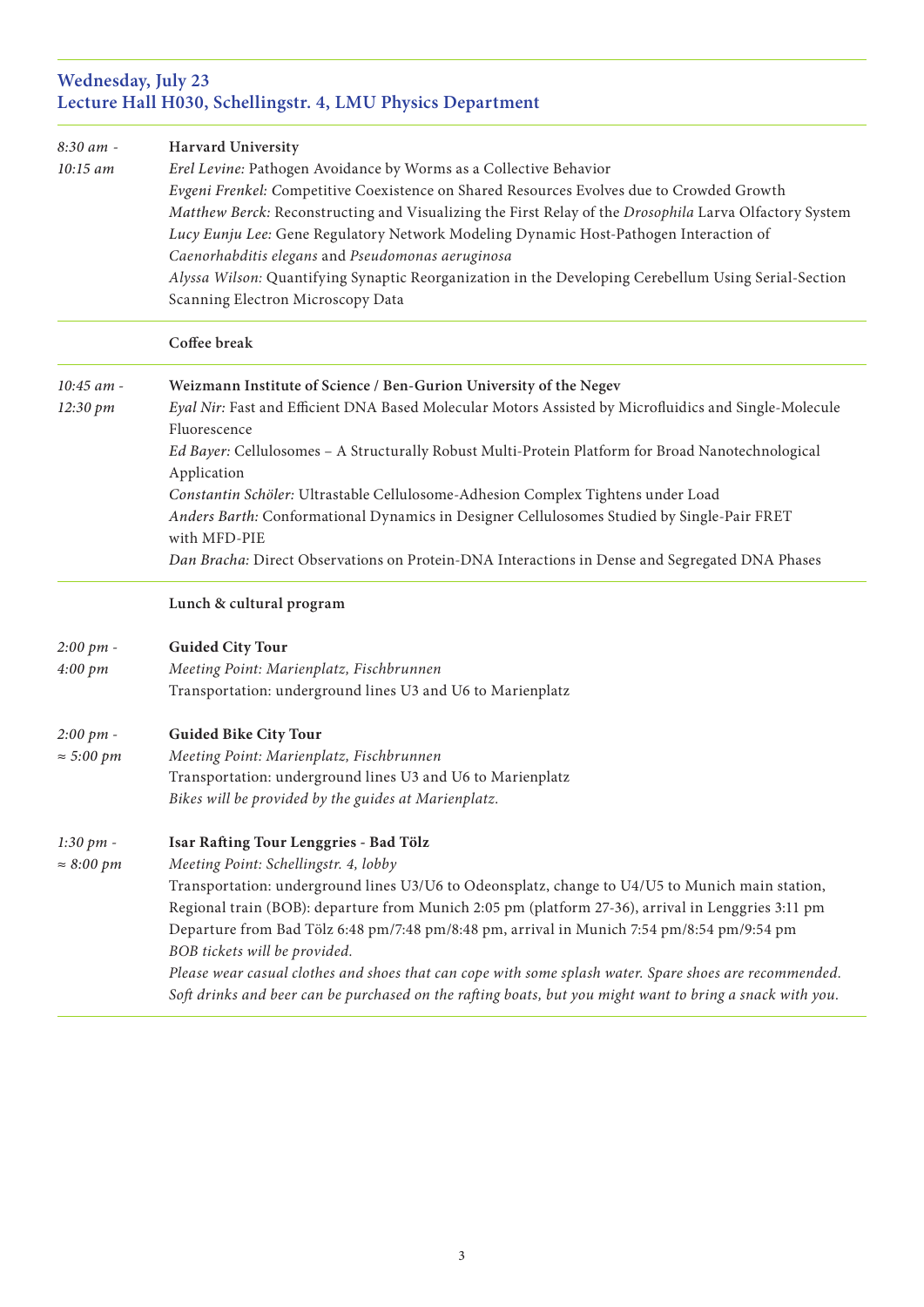#### **Wednesday, July 23 Lecture Hall H030, Schellingstr. 4, LMU Physics Department**

| 8:30 am -             | Harvard University                                                                                        |
|-----------------------|-----------------------------------------------------------------------------------------------------------|
| 10:15 am              | Erel Levine: Pathogen Avoidance by Worms as a Collective Behavior                                         |
|                       | Evgeni Frenkel: Competitive Coexistence on Shared Resources Evolves due to Crowded Growth                 |
|                       | Matthew Berck: Reconstructing and Visualizing the First Relay of the Drosophila Larva Olfactory System    |
|                       | Lucy Eunju Lee: Gene Regulatory Network Modeling Dynamic Host-Pathogen Interaction of                     |
|                       | Caenorhabditis elegans and Pseudomonas aeruginosa                                                         |
|                       | Alyssa Wilson: Quantifying Synaptic Reorganization in the Developing Cerebellum Using Serial-Section      |
|                       | Scanning Electron Microscopy Data                                                                         |
|                       | Coffee break                                                                                              |
| 10:45 am -            | Weizmann Institute of Science / Ben-Gurion University of the Negev                                        |
| 12:30 pm              | Eyal Nir: Fast and Efficient DNA Based Molecular Motors Assisted by Microfluidics and Single-Molecule     |
|                       | Fluorescence                                                                                              |
|                       | Ed Bayer: Cellulosomes - A Structurally Robust Multi-Protein Platform for Broad Nanotechnological         |
|                       | Application                                                                                               |
|                       | Constantin Schöler: Ultrastable Cellulosome-Adhesion Complex Tightens under Load                          |
|                       | Anders Barth: Conformational Dynamics in Designer Cellulosomes Studied by Single-Pair FRET                |
|                       | with MFD-PIE                                                                                              |
|                       | Dan Bracha: Direct Observations on Protein-DNA Interactions in Dense and Segregated DNA Phases            |
|                       | Lunch & cultural program                                                                                  |
| $2:00~pm$ -           | <b>Guided City Tour</b>                                                                                   |
| 4:00~pm               | Meeting Point: Marienplatz, Fischbrunnen                                                                  |
|                       | Transportation: underground lines U3 and U6 to Marienplatz                                                |
| $2:00~pm$ -           | <b>Guided Bike City Tour</b>                                                                              |
| $\approx$ 5:00 pm     | Meeting Point: Marienplatz, Fischbrunnen                                                                  |
|                       | Transportation: underground lines U3 and U6 to Marienplatz                                                |
|                       | Bikes will be provided by the guides at Marienplatz.                                                      |
| $1:30 \; pm -$        | Isar Rafting Tour Lenggries - Bad Tölz                                                                    |
| $\approx 8:00 \;pm m$ | Meeting Point: Schellingstr. 4, lobby                                                                     |
|                       | Transportation: underground lines U3/U6 to Odeonsplatz, change to U4/U5 to Munich main station,           |
|                       | Regional train (BOB): departure from Munich 2:05 pm (platform 27-36), arrival in Lenggries 3:11 pm        |
|                       | Departure from Bad Tölz 6:48 pm/7:48 pm/8:48 pm, arrival in Munich 7:54 pm/8:54 pm/9:54 pm                |
|                       | BOB tickets will be provided.                                                                             |
|                       | Please wear casual clothes and shoes that can cope with some splash water. Spare shoes are recommended.   |
|                       | Soft drinks and beer can be purchased on the rafting boats, but you might want to bring a snack with you. |
|                       |                                                                                                           |